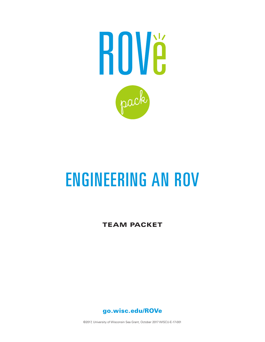

# ENGINEERING AN ROV

TEAM PACKET



©2017, University of Wisconsin Sea Grant, October 2017 WISCU-E-17-001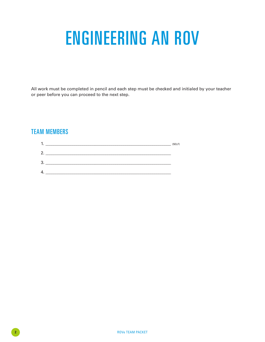## ENGINEERING AN ROV

All work must be completed in pencil and each step must be checked and initialed by your teacher or peer before you can proceed to the next step.

## TEAM MEMBERS

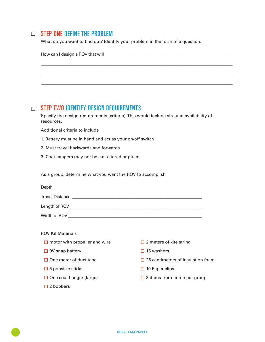## $\square$  STEP ONE DEFINE THE PROBLEM

What do you want to find out? Identify your problem in the form of a question.

|  | STEP TWO IDENTIFY DESIGN REQUIREMENTS                                                                                                                                                                                          |                                          |  |  |  |
|--|--------------------------------------------------------------------------------------------------------------------------------------------------------------------------------------------------------------------------------|------------------------------------------|--|--|--|
|  | Specify the design requirements (criteria). This would include size and availability of<br>resources.                                                                                                                          |                                          |  |  |  |
|  | Additional criteria to include                                                                                                                                                                                                 |                                          |  |  |  |
|  | 1. Battery must be in hand and act as your on/off switch                                                                                                                                                                       |                                          |  |  |  |
|  | 2. Must travel backwards and forwards                                                                                                                                                                                          |                                          |  |  |  |
|  | 3. Coat hangers may not be cut, altered or glued                                                                                                                                                                               |                                          |  |  |  |
|  |                                                                                                                                                                                                                                |                                          |  |  |  |
|  |                                                                                                                                                                                                                                |                                          |  |  |  |
|  | As a group, determine what you want the ROV to accomplish                                                                                                                                                                      |                                          |  |  |  |
|  |                                                                                                                                                                                                                                |                                          |  |  |  |
|  |                                                                                                                                                                                                                                |                                          |  |  |  |
|  | Travel Distance Lawrence and the Community of the Community of the Community of the Community of the Community of the Community of the Community of the Community of the Community of the Community of the Community of the Co |                                          |  |  |  |
|  |                                                                                                                                                                                                                                |                                          |  |  |  |
|  |                                                                                                                                                                                                                                |                                          |  |  |  |
|  | <b>ROV Kit Materials</b>                                                                                                                                                                                                       |                                          |  |  |  |
|  | $\Box$ motor with propeller and wire                                                                                                                                                                                           | $\Box$ 2 meters of kite string           |  |  |  |
|  | $\Box$ 9V snap battery                                                                                                                                                                                                         | $\Box$ 15 washers                        |  |  |  |
|  | $\Box$ One meter of duct tape                                                                                                                                                                                                  | $\Box$ 25 centimeters of insulation foam |  |  |  |
|  | $\Box$ 5 popsicle sticks                                                                                                                                                                                                       | $\Box$ 10 Paper clips                    |  |  |  |

□ 2 bobbers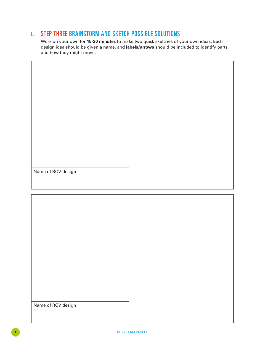## $\Box$  STEP THREE BRAINSTORM AND SKETCH POSSIBLE SOLUTIONS

Work on your own for **15-20 minutes** to make two quick sketches of your own ideas. Each design idea should be given a name, and **labels/arrows** should be included to identify parts and how they might move.

Name of ROV design

Name of ROV design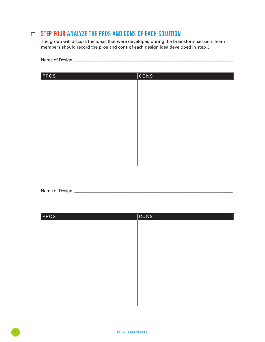### $\Box$  STEP FOUR ANALYZE THE PROS AND CONS OF EACH SOLUTION

Name of Design **\_\_\_\_\_\_\_\_\_\_\_\_\_\_\_\_\_\_\_\_\_\_\_\_\_\_\_\_\_\_\_\_\_\_\_\_\_\_\_\_\_\_\_\_\_\_\_\_\_\_\_\_\_\_\_\_\_\_\_\_\_\_\_\_\_\_\_\_\_\_\_\_\_\_\_\_\_**

The group will discuss the ideas that were developed during the brainstorm session. Team members should record the pros and cons of each design idea developed in step 3.

| PROS | cons |
|------|------|
|      |      |
|      |      |
|      |      |
|      |      |
|      |      |
|      |      |
|      |      |
|      |      |
|      |      |
|      |      |

Name of Design **\_\_\_\_\_\_\_\_\_\_\_\_\_\_\_\_\_\_\_\_\_\_\_\_\_\_\_\_\_\_\_\_\_\_\_\_\_\_\_\_\_\_\_\_\_\_\_\_\_\_\_\_\_\_\_\_\_\_\_\_\_\_\_\_\_\_\_\_\_\_\_\_\_\_\_\_\_**

| PROS | <b>CONS</b> |
|------|-------------|
|      |             |
|      |             |
|      |             |
|      |             |
|      |             |
|      |             |
|      |             |
|      |             |
|      |             |
|      |             |
|      |             |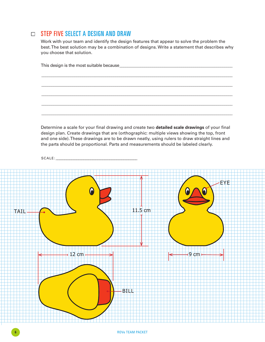#### □ STEP FIVE SELECT A DESIGN AND DRAW

Work with your team and identify the design features that appear to solve the problem the best. The best solution may be a combination of designs. Write a statement that describes why you choose that solution.

Determine a scale for your final drawing and create two **detailed scale drawings** of your final design plan. Create drawings that are (orthographic: multiple views showing the top, front and one side). These drawings are to be drawn neatly, using rulers to draw straight lines and the parts should be proportional. Parts and measurements should be labeled clearly.



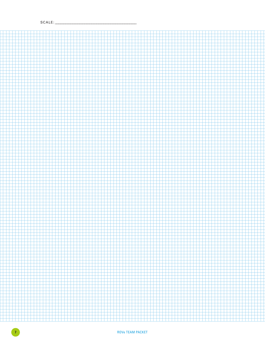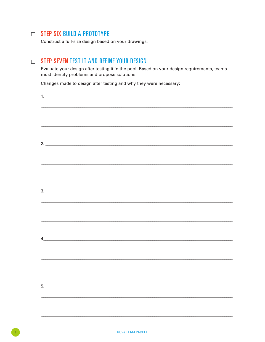#### $\Box$  STEP SIX BUILD A PROTOTYPE

Construct a full-size design based on your drawings.

#### **STEP SEVEN TEST IT AND REFINE YOUR DESIGN**

Evaluate your design after testing it in the pool. Based on your design requirements, teams must identify problems and propose solutions.

Changes made to design after testing and why they were necessary:

| 1.                                                                               |  |  |  |
|----------------------------------------------------------------------------------|--|--|--|
|                                                                                  |  |  |  |
|                                                                                  |  |  |  |
|                                                                                  |  |  |  |
|                                                                                  |  |  |  |
|                                                                                  |  |  |  |
| 2.                                                                               |  |  |  |
|                                                                                  |  |  |  |
| ,我们也不会有什么。""我们的人,我们也不会有什么?""我们的人,我们也不会有什么?""我们的人,我们也不会有什么?""我们的人,我们也不会有什么?""我们的人 |  |  |  |
|                                                                                  |  |  |  |
| ,我们也不会有什么。""我们的人,我们也不会有什么?""我们的人,我们也不会有什么?""我们的人,我们也不会有什么?""我们的人,我们也不会有什么?""我们的人 |  |  |  |
|                                                                                  |  |  |  |
| 3.                                                                               |  |  |  |
| ,我们也不会有什么。""我们的人,我们也不会有什么?""我们的人,我们也不会有什么?""我们的人,我们也不会有什么?""我们的人,我们也不会有什么?""我们的人 |  |  |  |
|                                                                                  |  |  |  |
|                                                                                  |  |  |  |
|                                                                                  |  |  |  |
|                                                                                  |  |  |  |
| $\frac{4}{3}$                                                                    |  |  |  |
|                                                                                  |  |  |  |
| <u> 1989 - Jan James James Barnett, amerikan bahasa (j. 1989)</u>                |  |  |  |
|                                                                                  |  |  |  |
|                                                                                  |  |  |  |
|                                                                                  |  |  |  |
|                                                                                  |  |  |  |
|                                                                                  |  |  |  |
|                                                                                  |  |  |  |
|                                                                                  |  |  |  |
|                                                                                  |  |  |  |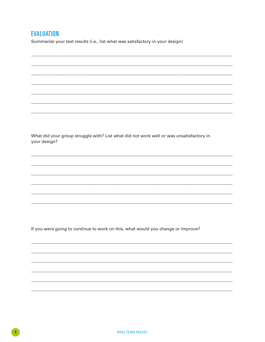### **EVALUATION**

Summarize your test results (i.e., list what was satisfactory in your design)

What did your group struggle with? List what did not work well or was unsatisfactory in your design?

If you were going to continue to work on this, what would you change or improve?